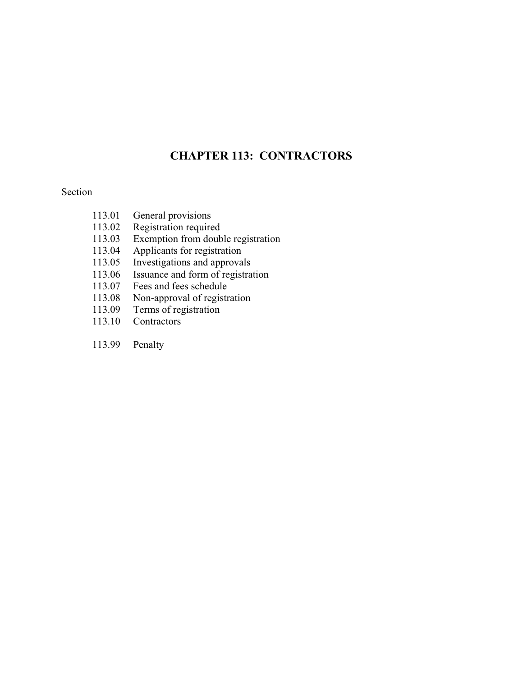#### **CHAPTER 113: CONTRACTORS CHAPTER 113: CONTRACTORS**

#### Section

- 113.01 General provisions<br>113.02 Registration require
- Registration required
- 113.03 Exemption from double registration<br>113.04 Applicants for registration
- Applicants for registration
- 113.05 Investigations and approvals<br>113.06 Issuance and form of registra
- Issuance and form of registration
- 113.07 Fees and fees schedule
- 113.08 Non-approval of registration
- 113.09 Terms of registration
- 113.10 Contractors
- 113.99 Penalty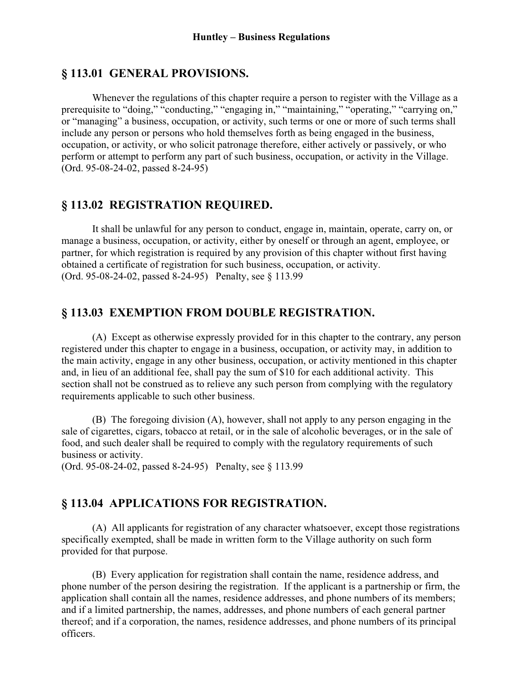## **§ 113.01 GENERAL PROVISIONS.**

 Whenever the regulations of this chapter require a person to register with the Village as a prerequisite to "doing," "conducting," "engaging in," "maintaining," "operating," "carrying on," or "managing" a business, occupation, or activity, such terms or one or more of such terms shall include any person or persons who hold themselves forth as being engaged in the business, occupation, or activity, or who solicit patronage therefore, either actively or passively, or who perform or attempt to perform any part of such business, occupation, or activity in the Village. (Ord. 95-08-24-02, passed 8-24-95)

# **§ 113.02 REGISTRATION REQUIRED.**

 It shall be unlawful for any person to conduct, engage in, maintain, operate, carry on, or manage a business, occupation, or activity, either by oneself or through an agent, employee, or partner, for which registration is required by any provision of this chapter without first having obtained a certificate of registration for such business, occupation, or activity. (Ord. 95-08-24-02, passed 8-24-95) Penalty, see § 113.99

# **§ 113.03 EXEMPTION FROM DOUBLE REGISTRATION.**

 (A) Except as otherwise expressly provided for in this chapter to the contrary, any person registered under this chapter to engage in a business, occupation, or activity may, in addition to the main activity, engage in any other business, occupation, or activity mentioned in this chapter and, in lieu of an additional fee, shall pay the sum of \$10 for each additional activity. This section shall not be construed as to relieve any such person from complying with the regulatory requirements applicable to such other business.

 (B) The foregoing division (A), however, shall not apply to any person engaging in the sale of cigarettes, cigars, tobacco at retail, or in the sale of alcoholic beverages, or in the sale of food, and such dealer shall be required to comply with the regulatory requirements of such business or activity.

(Ord. 95-08-24-02, passed 8-24-95) Penalty, see § 113.99

# **§ 113.04 APPLICATIONS FOR REGISTRATION.**

 (A) All applicants for registration of any character whatsoever, except those registrations specifically exempted, shall be made in written form to the Village authority on such form provided for that purpose.

 (B) Every application for registration shall contain the name, residence address, and phone number of the person desiring the registration. If the applicant is a partnership or firm, the application shall contain all the names, residence addresses, and phone numbers of its members; and if a limited partnership, the names, addresses, and phone numbers of each general partner thereof; and if a corporation, the names, residence addresses, and phone numbers of its principal officers.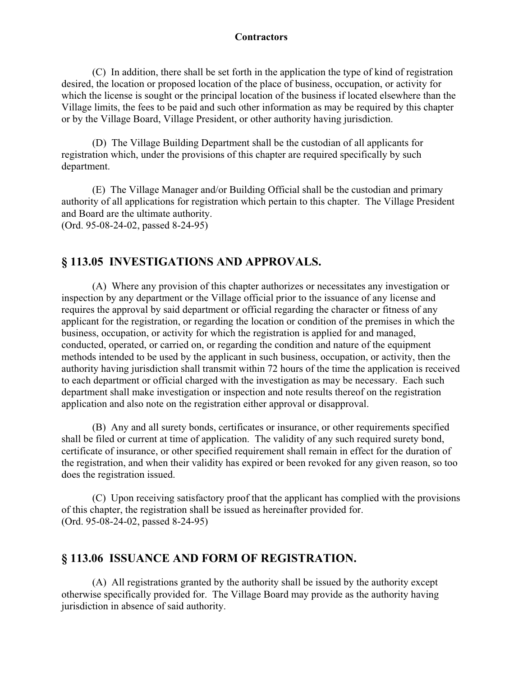#### **Contractors Contractors**

 (C) In addition, there shall be set forth in the application the type of kind of registration desired, the location or proposed location of the place of business, occupation, or activity for which the license is sought or the principal location of the business if located elsewhere than the Village limits, the fees to be paid and such other information as may be required by this chapter or by the Village Board, Village President, or other authority having jurisdiction.

 (D) The Village Building Department shall be the custodian of all applicants for registration which, under the provisions of this chapter are required specifically by such department.

 (E) The Village Manager and/or Building Official shall be the custodian and primary authority of all applications for registration which pertain to this chapter. The Village President and Board are the ultimate authority. (Ord. 95-08-24-02, passed 8-24-95)

# **§ 113.05 INVESTIGATIONS AND APPROVALS.**

 (A) Where any provision of this chapter authorizes or necessitates any investigation or inspection by any department or the Village official prior to the issuance of any license and requires the approval by said department or official regarding the character or fitness of any applicant for the registration, or regarding the location or condition of the premises in which the business, occupation, or activity for which the registration is applied for and managed, conducted, operated, or carried on, or regarding the condition and nature of the equipment methods intended to be used by the applicant in such business, occupation, or activity, then the authority having jurisdiction shall transmit within 72 hours of the time the application is received to each department or official charged with the investigation as may be necessary. Each such department shall make investigation or inspection and note results thereof on the registration application and also note on the registration either approval or disapproval.

 (B) Any and all surety bonds, certificates or insurance, or other requirements specified shall be filed or current at time of application. The validity of any such required surety bond, certificate of insurance, or other specified requirement shall remain in effect for the duration of the registration, and when their validity has expired or been revoked for any given reason, so too does the registration issued.

 (C) Upon receiving satisfactory proof that the applicant has complied with the provisions of this chapter, the registration shall be issued as hereinafter provided for. (Ord. 95-08-24-02, passed 8-24-95)

## **§ 113.06 ISSUANCE AND FORM OF REGISTRATION.**

 (A) All registrations granted by the authority shall be issued by the authority except otherwise specifically provided for. The Village Board may provide as the authority having jurisdiction in absence of said authority.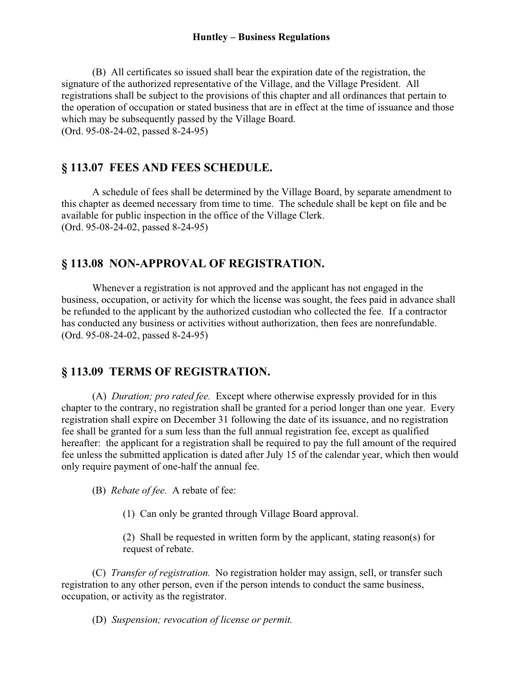#### **Huntley – Business Regulations**

 (B) All certificates so issued shall bear the expiration date of the registration, the signature of the authorized representative of the Village, and the Village President. All registrations shall be subject to the provisions of this chapter and all ordinances that pertain to the operation of occupation or stated business that are in effect at the time of issuance and those which may be subsequently passed by the Village Board. (Ord. 95-08-24-02, passed 8-24-95)

### **§ 113.07 FEES AND FEES SCHEDULE.**

 A schedule of fees shall be determined by the Village Board, by separate amendment to this chapter as deemed necessary from time to time. The schedule shall be kept on file and be available for public inspection in the office of the Village Clerk. (Ord. 95-08-24-02, passed 8-24-95)

### **§ 113.08 NON-APPROVAL OF REGISTRATION.**

 Whenever a registration is not approved and the applicant has not engaged in the business, occupation, or activity for which the license was sought, the fees paid in advance shall be refunded to the applicant by the authorized custodian who collected the fee. If a contractor has conducted any business or activities without authorization, then fees are nonrefundable. (Ord. 95-08-24-02, passed 8-24-95)

# **§ 113.09 TERMS OF REGISTRATION.**

 (A) *Duration; pro rated fee.* Except where otherwise expressly provided for in this chapter to the contrary, no registration shall be granted for a period longer than one year. Every registration shall expire on December 31 following the date of its issuance, and no registration fee shall be granted for a sum less than the full annual registration fee, except as qualified hereafter: the applicant for a registration shall be required to pay the full amount of the required fee unless the submitted application is dated after July 15 of the calendar year, which then would only require payment of one-half the annual fee.

(B) *Rebate of fee.* A rebate of fee:

(1) Can only be granted through Village Board approval.

(2) Shall be requested in written form by the applicant, stating reason(s) for request of rebate.

 (C) *Transfer of registration.* No registration holder may assign, sell, or transfer such registration to any other person, even if the person intends to conduct the same business, occupation, or activity as the registrator.

(D) *Suspension; revocation of license or permit.*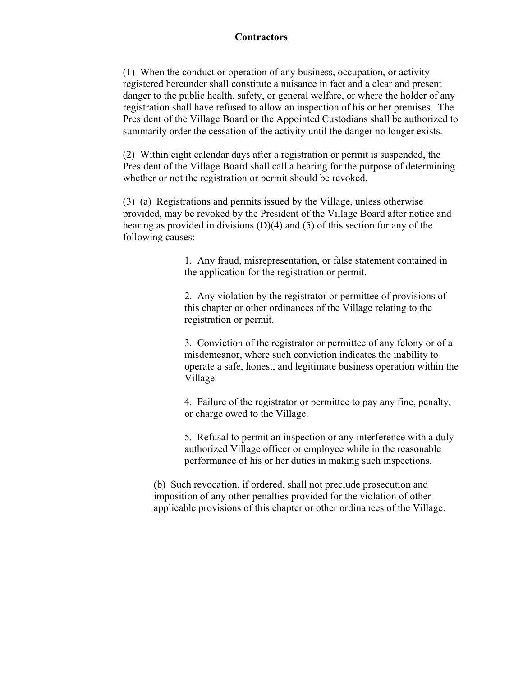#### **Contractors Contractors**

(1) When the conduct or operation of any business, occupation, or activity registered hereunder shall constitute a nuisance in fact and a clear and present danger to the public health, safety, or general welfare, or where the holder of any registration shall have refused to allow an inspection of his or her premises. The President of the Village Board or the Appointed Custodians shall be authorized to summarily order the cessation of the activity until the danger no longer exists.

(2) Within eight calendar days after a registration or permit is suspended, the President of the Village Board shall call a hearing for the purpose of determining whether or not the registration or permit should be revoked.

(3) (a) Registrations and permits issued by the Village, unless otherwise provided, may be revoked by the President of the Village Board after notice and hearing as provided in divisions (D)(4) and (5) of this section for any of the following causes:

> 1. Any fraud, misrepresentation, or false statement contained in the application for the registration or permit.

> 2. Any violation by the registrator or permittee of provisions of this chapter or other ordinances of the Village relating to the registration or permit.

3. Conviction of the registrator or permittee of any felony or of a misdemeanor, where such conviction indicates the inability to operate a safe, honest, and legitimate business operation within the Village.

4. Failure of the registrator or permittee to pay any fine, penalty, or charge owed to the Village.

5. Refusal to permit an inspection or any interference with a duly authorized Village officer or employee while in the reasonable performance of his or her duties in making such inspections.

(b) Such revocation, if ordered, shall not preclude prosecution and imposition of any other penalties provided for the violation of other applicable provisions of this chapter or other ordinances of the Village.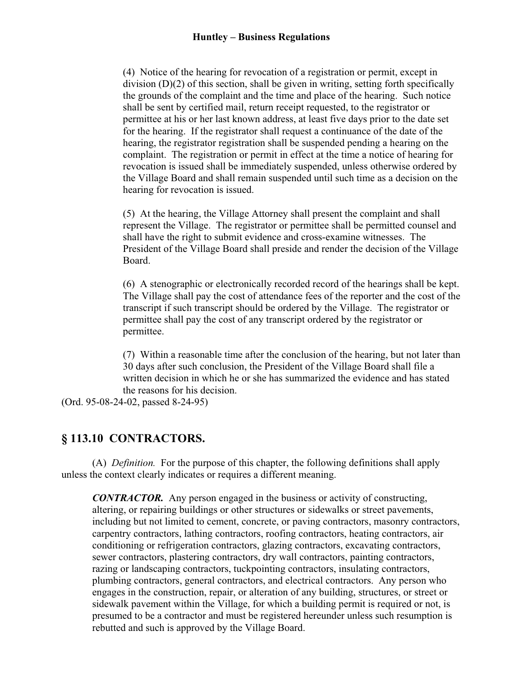#### **Huntley – Business Regulations**

(4) Notice of the hearing for revocation of a registration or permit, except in division (D)(2) of this section, shall be given in writing, setting forth specifically the grounds of the complaint and the time and place of the hearing. Such notice shall be sent by certified mail, return receipt requested, to the registrator or permittee at his or her last known address, at least five days prior to the date set for the hearing. If the registrator shall request a continuance of the date of the hearing, the registrator registration shall be suspended pending a hearing on the complaint. The registration or permit in effect at the time a notice of hearing for revocation is issued shall be immediately suspended, unless otherwise ordered by the Village Board and shall remain suspended until such time as a decision on the hearing for revocation is issued.

(5) At the hearing, the Village Attorney shall present the complaint and shall represent the Village. The registrator or permittee shall be permitted counsel and shall have the right to submit evidence and cross-examine witnesses. The President of the Village Board shall preside and render the decision of the Village Board.

(6) A stenographic or electronically recorded record of the hearings shall be kept. The Village shall pay the cost of attendance fees of the reporter and the cost of the transcript if such transcript should be ordered by the Village. The registrator or permittee shall pay the cost of any transcript ordered by the registrator or permittee.

(7) Within a reasonable time after the conclusion of the hearing, but not later than 30 days after such conclusion, the President of the Village Board shall file a written decision in which he or she has summarized the evidence and has stated the reasons for his decision.

(Ord. 95-08-24-02, passed 8-24-95)

# **§ 113.10 CONTRACTORS.**

 (A) *Definition.* For the purpose of this chapter, the following definitions shall apply unless the context clearly indicates or requires a different meaning.

*CONTRACTOR.* Any person engaged in the business or activity of constructing, altering, or repairing buildings or other structures or sidewalks or street pavements, including but not limited to cement, concrete, or paving contractors, masonry contractors, carpentry contractors, lathing contractors, roofing contractors, heating contractors, air conditioning or refrigeration contractors, glazing contractors, excavating contractors, sewer contractors, plastering contractors, dry wall contractors, painting contractors, razing or landscaping contractors, tuckpointing contractors, insulating contractors, plumbing contractors, general contractors, and electrical contractors. Any person who engages in the construction, repair, or alteration of any building, structures, or street or sidewalk pavement within the Village, for which a building permit is required or not, is presumed to be a contractor and must be registered hereunder unless such resumption is rebutted and such is approved by the Village Board.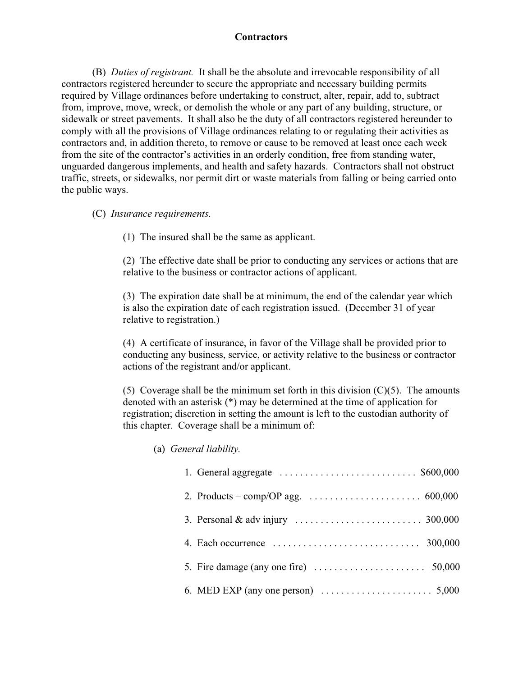# **Contractors**

 (B) *Duties of registrant.* It shall be the absolute and irrevocable responsibility of all contractors registered hereunder to secure the appropriate and necessary building permits required by Village ordinances before undertaking to construct, alter, repair, add to, subtract from, improve, move, wreck, or demolish the whole or any part of any building, structure, or sidewalk or street pavements. It shall also be the duty of all contractors registered hereunder to comply with all the provisions of Village ordinances relating to or regulating their activities as contractors and, in addition thereto, to remove or cause to be removed at least once each week from the site of the contractor's activities in an orderly condition, free from standing water, unguarded dangerous implements, and health and safety hazards. Contractors shall not obstruct traffic, streets, or sidewalks, nor permit dirt or waste materials from falling or being carried onto the public ways.

#### (C) *Insurance requirements.*

(1) The insured shall be the same as applicant.

(2) The effective date shall be prior to conducting any services or actions that are relative to the business or contractor actions of applicant.

(3) The expiration date shall be at minimum, the end of the calendar year which is also the expiration date of each registration issued. (December 31 of year relative to registration.)

(4) A certificate of insurance, in favor of the Village shall be provided prior to conducting any business, service, or activity relative to the business or contractor actions of the registrant and/or applicant.

(5) Coverage shall be the minimum set forth in this division  $(C)(5)$ . The amounts denoted with an asterisk (\*) may be determined at the time of application for registration; discretion in setting the amount is left to the custodian authority of this chapter. Coverage shall be a minimum of:

#### (a) *General liability.*

| 1. General aggregate $\ldots \ldots \ldots \ldots \ldots \ldots \ldots \ldots$ \$600,000    |
|---------------------------------------------------------------------------------------------|
|                                                                                             |
| 3. Personal & adv injury $\ldots \ldots \ldots \ldots \ldots \ldots \ldots \ldots$ 300,000  |
| 4. Each occurrence $\ldots \ldots \ldots \ldots \ldots \ldots \ldots \ldots \ldots$ 300,000 |
|                                                                                             |
|                                                                                             |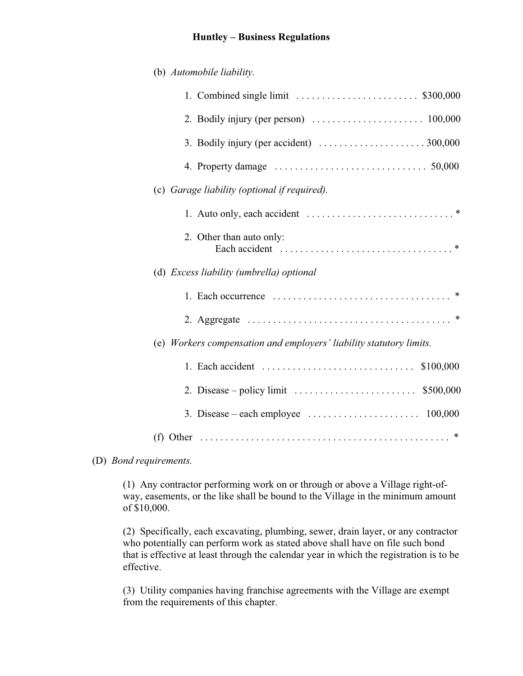#### **Huntley – Business Regulations**

| (b) Automobile liability.                                                                         |
|---------------------------------------------------------------------------------------------------|
|                                                                                                   |
|                                                                                                   |
|                                                                                                   |
| 4. Property damage $\ldots \ldots \ldots \ldots \ldots \ldots \ldots \ldots \ldots \ldots 50,000$ |
| (c) Garage liability (optional if required).                                                      |
|                                                                                                   |
| 2. Other than auto only:                                                                          |
| (d) Excess liability (umbrella) optional                                                          |
|                                                                                                   |
|                                                                                                   |
| (e) Workers compensation and employers' liability statutory limits.                               |
| 1. Each accident $\dots\dots\dots\dots\dots\dots\dots\dots\dots\dots\dots$<br>\$100,000           |
| 2. Disease – policy limit $\ldots \ldots \ldots \ldots \ldots \ldots$ \$500,000                   |
| 3. Disease – each employee $\ldots \ldots \ldots \ldots \ldots \ldots \ldots \ldots 100,000$      |
|                                                                                                   |

#### (D) *Bond requirements.*

(1) Any contractor performing work on or through or above a Village right-ofway, easements, or the like shall be bound to the Village in the minimum amount of \$10,000.

(2) Specifically, each excavating, plumbing, sewer, drain layer, or any contractor who potentially can perform work as stated above shall have on file such bond that is effective at least through the calendar year in which the registration is to be effective.

(3) Utility companies having franchise agreements with the Village are exempt from the requirements of this chapter.